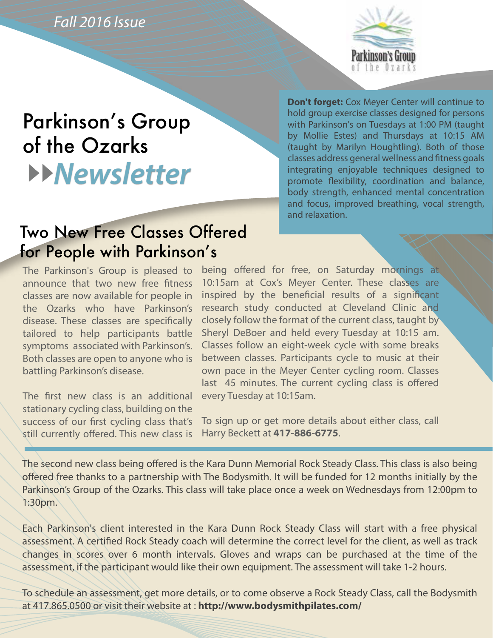*Fall 2016 Issue*



# Parkinson's Group of the Ozarks *Newsletter*

**Don't forget:** Cox Meyer Center will continue to hold group exercise classes designed for persons with Parkinson's on Tuesdays at 1:00 PM (taught by Mollie Estes) and Thursdays at 10:15 AM (taught by Marilyn Houghtling). Both of those classes address general wellness and fitness goals integrating enjoyable techniques designed to promote flexibility, coordination and balance, body strength, enhanced mental concentration and focus, improved breathing, vocal strength, and relaxation.

## Two New Free Classes Offered for People with Parkinson's

The Parkinson's Group is pleased to announce that two new free fitness classes are now available for people in the Ozarks who have Parkinson's disease. These classes are specifically tailored to help participants battle symptoms associated with Parkinson's. Both classes are open to anyone who is battling Parkinson's disease.

The first new class is an additional stationary cycling class, building on the success of our first cycling class that's still currently offered. This new class is

being offered for free, on Saturday mornings at 10:15am at Cox's Meyer Center. These classes are inspired by the beneficial results of a significant research study conducted at Cleveland Clinic and closely follow the format of the current class, taught by Sheryl DeBoer and held every Tuesday at 10:15 am. Classes follow an eight-week cycle with some breaks between classes. Participants cycle to music at their own pace in the Meyer Center cycling room. Classes last 45 minutes. The current cycling class is offered every Tuesday at 10:15am.

To sign up or get more details about either class, call Harry Beckett at **417-886-6775**.

The second new class being offered is the Kara Dunn Memorial Rock Steady Class. This class is also being offered free thanks to a partnership with The Bodysmith. It will be funded for 12 months initially by the Parkinson's Group of the Ozarks. This class will take place once a week on Wednesdays from 12:00pm to 1:30pm.

Each Parkinson's client interested in the Kara Dunn Rock Steady Class will start with a free physical assessment. A certified Rock Steady coach will determine the correct level for the client, as well as track changes in scores over 6 month intervals. Gloves and wraps can be purchased at the time of the assessment, if the participant would like their own equipment. The assessment will take 1-2 hours.

To schedule an assessment, get more details, or to come observe a Rock Steady Class, call the Bodysmith at 417.865.0500 or visit their website at : **http://www.bodysmithpilates.com/**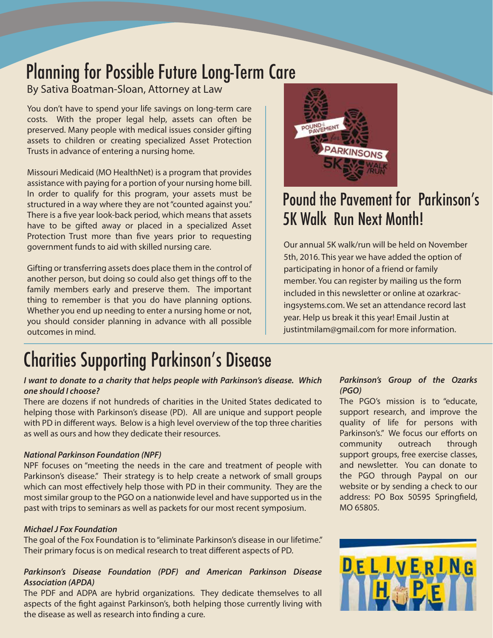# Planning for Possible Future Long-Term Care

### By Sativa Boatman-Sloan, Attorney at Law

You don't have to spend your life savings on long-term care costs. With the proper legal help, assets can often be preserved. Many people with medical issues consider gifting assets to children or creating specialized Asset Protection Trusts in advance of entering a nursing home.

Missouri Medicaid (MO HealthNet) is a program that provides assistance with paying for a portion of your nursing home bill. In order to qualify for this program, your assets must be structured in a way where they are not "counted against you." There is a five year look-back period, which means that assets have to be gifted away or placed in a specialized Asset Protection Trust more than five years prior to requesting government funds to aid with skilled nursing care.

Gifting or transferring assets does place them in the control of another person, but doing so could also get things off to the family members early and preserve them. The important thing to remember is that you do have planning options. Whether you end up needing to enter a nursing home or not, you should consider planning in advance with all possible outcomes in mind.



# Pound the Pavement for Parkinson's 5K Walk Run Next Month!

Our annual 5K walk/run will be held on November 5th, 2016. This year we have added the option of participating in honor of a friend or family member. You can register by mailing us the form included in this newsletter or online at ozarkracingsystems.com. We set an attendance record last year. Help us break it this year! Email Justin at justintmilam@gmail.com for more information.

# Charities Supporting Parkinson's Disease

#### *I want to donate to a charity that helps people with Parkinson's disease. Which one should I choose?*

There are dozens if not hundreds of charities in the United States dedicated to helping those with Parkinson's disease (PD). All are unique and support people with PD in different ways. Below is a high level overview of the top three charities as well as ours and how they dedicate their resources.

#### *National Parkinson Foundation (NPF)*

NPF focuses on "meeting the needs in the care and treatment of people with Parkinson's disease." Their strategy is to help create a network of small groups which can most effectively help those with PD in their community. They are the most similar group to the PGO on a nationwide level and have supported us in the past with trips to seminars as well as packets for our most recent symposium.

#### *Michael J Fox Foundation*

The goal of the Fox Foundation is to "eliminate Parkinson's disease in our lifetime." Their primary focus is on medical research to treat different aspects of PD.

#### *Parkinson's Disease Foundation (PDF) and American Parkinson Disease Association (APDA)*

The PDF and ADPA are hybrid organizations. They dedicate themselves to all aspects of the fight against Parkinson's, both helping those currently living with the disease as well as research into finding a cure.

#### *Parkinson's Group of the Ozarks (PGO)*

The PGO's mission is to "educate, support research, and improve the quality of life for persons with Parkinson's." We focus our efforts on community outreach through support groups, free exercise classes, and newsletter. You can donate to the PGO through Paypal on our website or by sending a check to our address: PO Box 50595 Springfield, MO 65805.

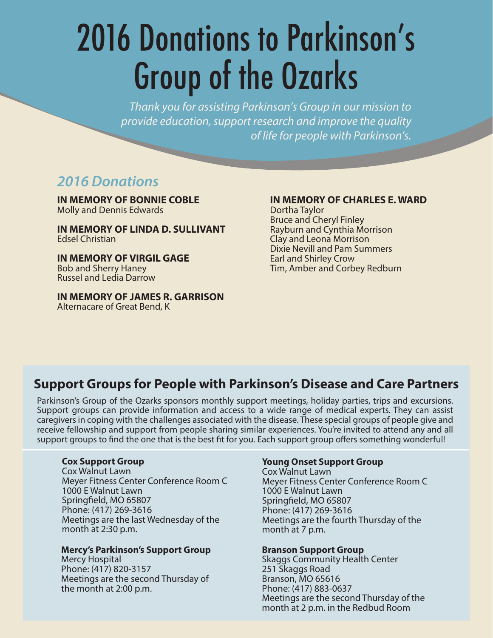# 2016 Donations to Parkinson's Group of the Ozarks

*Thank you for assisting Parkinson's Group in our mission to provide education, support research and improve the quality of life for people with Parkinson's.*

## *2016 Donations*

**IN MEMORY OF BONNIE COBLE** Molly and Dennis Edwards

**IN MEMORY OF LINDA D. SULLIVANT** Edsel Christian

**IN MEMORY OF VIRGIL GAGE** Bob and Sherry Haney Russel and Ledia Darrow

**IN MEMORY OF JAMES R. GARRISON** Alternacare of Great Bend, K

#### **IN MEMORY OF CHARLES E. WARD**

Dortha Taylor Bruce and Cheryl Finley Rayburn and Cynthia Morrison Clay and Leona Morrison Dixie Nevill and Pam Summers Earl and Shirley Crow Tim, Amber and Corbey Redburn

## **Support Groups for People with Parkinson's Disease and Care Partners**

Parkinson's Group of the Ozarks sponsors monthly support meetings, holiday parties, trips and excursions. Support groups can provide information and access to a wide range of medical experts. They can assist caregivers in coping with the challenges associated with the disease. These special groups of people give and receive fellowship and support from people sharing similar experiences. You're invited to attend any and all support groups to find the one that is the best fit for you. Each support group offers something wonderful!

#### **Cox Support Group**

Cox Walnut Lawn Meyer Fitness Center Conference Room C 1000 E Walnut Lawn Springfield, MO 65807 Phone: (417) 269-3616 Meetings are the last Wednesday of the month at 2:30 p.m.

#### **Mercy's Parkinson's Support Group**

Mercy Hospital Phone: (417) 820-3157 Meetings are the second Thursday of the month at 2:00 p.m.

#### **Young Onset Support Group**

Cox Walnut Lawn Meyer Fitness Center Conference Room C 1000 E Walnut Lawn Springfield, MO 65807 Phone: (417) 269-3616 Meetings are the fourth Thursday of the month at 7 p.m.

#### **Branson Support Group**

Skaggs Community Health Center 251 Skaggs Road Branson, MO 65616 Phone: (417) 883-0637 Meetings are the second Thursday of the month at 2 p.m. in the Redbud Room